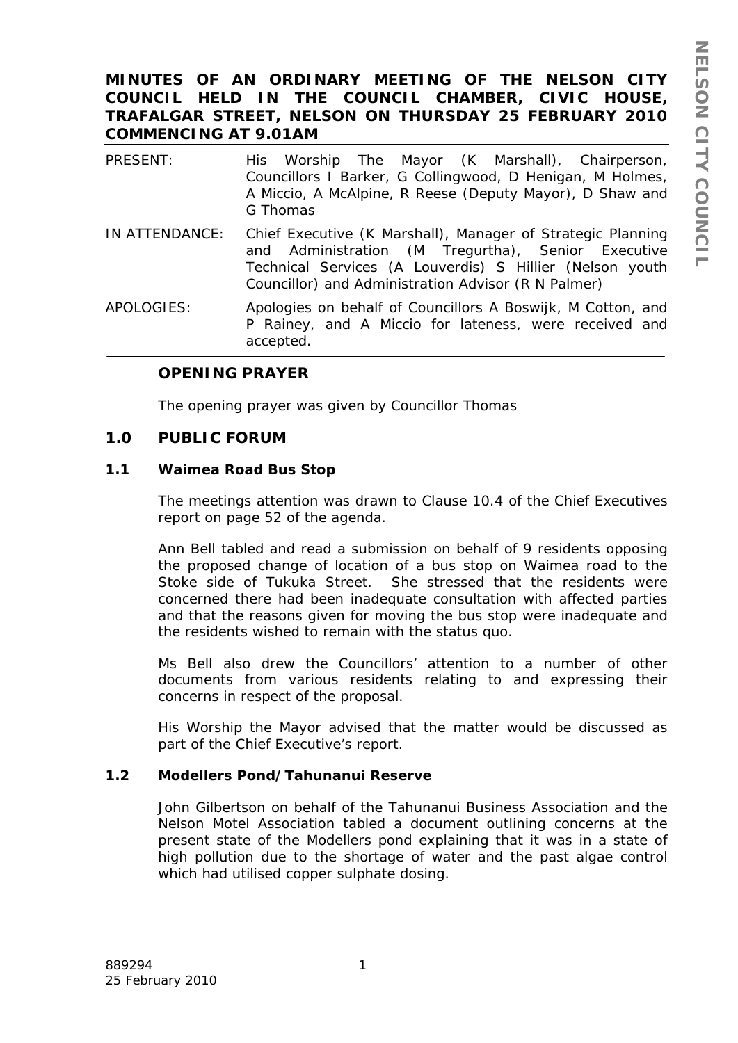# **MINUTES OF AN ORDINARY MEETING OF THE NELSON CITY COUNCIL HELD IN THE COUNCIL CHAMBER, CIVIC HOUSE, TRAFALGAR STREET, NELSON ON THURSDAY 25 FEBRUARY 2010 COMMENCING AT 9.01AM**

| PRESENT:       | His Worship The Mayor (K Marshall), Chairperson,<br>Councillors I Barker, G Collingwood, D Henigan, M Holmes,<br>A Miccio, A McAlpine, R Reese (Deputy Mayor), D Shaw and<br>G Thomas                                                |
|----------------|--------------------------------------------------------------------------------------------------------------------------------------------------------------------------------------------------------------------------------------|
| IN ATTENDANCE: | Chief Executive (K Marshall), Manager of Strategic Planning<br>and Administration (M Tregurtha), Senior Executive<br>Technical Services (A Louverdis) S Hillier (Nelson youth<br>Councillor) and Administration Advisor (R N Palmer) |
| APOLOGIES:     | Apologies on behalf of Councillors A Boswijk, M Cotton, and<br>P Rainey, and A Miccio for lateness, were received and<br>accepted.                                                                                                   |

## **OPENING PRAYER**

The opening prayer was given by Councillor Thomas

## **1.0 PUBLIC FORUM**

## **1.1 Waimea Road Bus Stop**

The meetings attention was drawn to Clause 10.4 of the Chief Executives report on page 52 of the agenda.

Ann Bell tabled and read a submission on behalf of 9 residents opposing the proposed change of location of a bus stop on Waimea road to the Stoke side of Tukuka Street. She stressed that the residents were concerned there had been inadequate consultation with affected parties and that the reasons given for moving the bus stop were inadequate and the residents wished to remain with the status quo.

Ms Bell also drew the Councillors' attention to a number of other documents from various residents relating to and expressing their concerns in respect of the proposal.

His Worship the Mayor advised that the matter would be discussed as part of the Chief Executive's report.

## **1.2 Modellers Pond/Tahunanui Reserve**

John Gilbertson on behalf of the Tahunanui Business Association and the Nelson Motel Association tabled a document outlining concerns at the present state of the Modellers pond explaining that it was in a state of high pollution due to the shortage of water and the past algae control which had utilised copper sulphate dosing.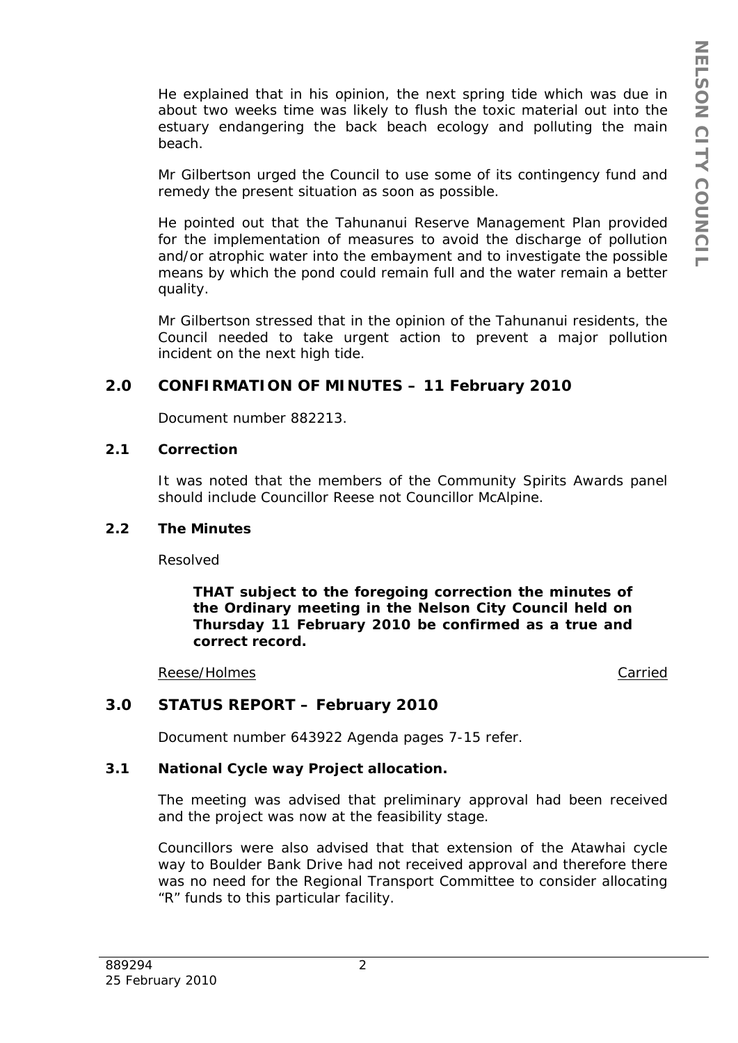He explained that in his opinion, the next spring tide which was due in about two weeks time was likely to flush the toxic material out into the estuary endangering the back beach ecology and polluting the main beach.

Mr Gilbertson urged the Council to use some of its contingency fund and remedy the present situation as soon as possible.

He pointed out that the Tahunanui Reserve Management Plan provided for the implementation of measures to avoid the discharge of pollution and/or atrophic water into the embayment and to investigate the possible means by which the pond could remain full and the water remain a better quality.

Mr Gilbertson stressed that in the opinion of the Tahunanui residents, the Council needed to take urgent action to prevent a major pollution incident on the next high tide.

# **2.0 CONFIRMATION OF MINUTES – 11 February 2010**

Document number 882213.

## **2.1 Correction**

It was noted that the members of the Community Spirits Awards panel should include Councillor Reese not Councillor McAlpine.

#### **2.2 The Minutes**

Resolved

*THAT subject to the foregoing correction the minutes of the Ordinary meeting in the Nelson City Council held on Thursday 11 February 2010 be confirmed as a true and correct record.* 

#### Reese/Holmes **Carried** Carried **Carried** Carried **Carried**

# **3.0 STATUS REPORT – February 2010**

Document number 643922 Agenda pages 7-15 refer.

## **3.1 National Cycle way Project allocation.**

The meeting was advised that preliminary approval had been received and the project was now at the feasibility stage.

Councillors were also advised that that extension of the Atawhai cycle way to Boulder Bank Drive had not received approval and therefore there was no need for the Regional Transport Committee to consider allocating "R" funds to this particular facility.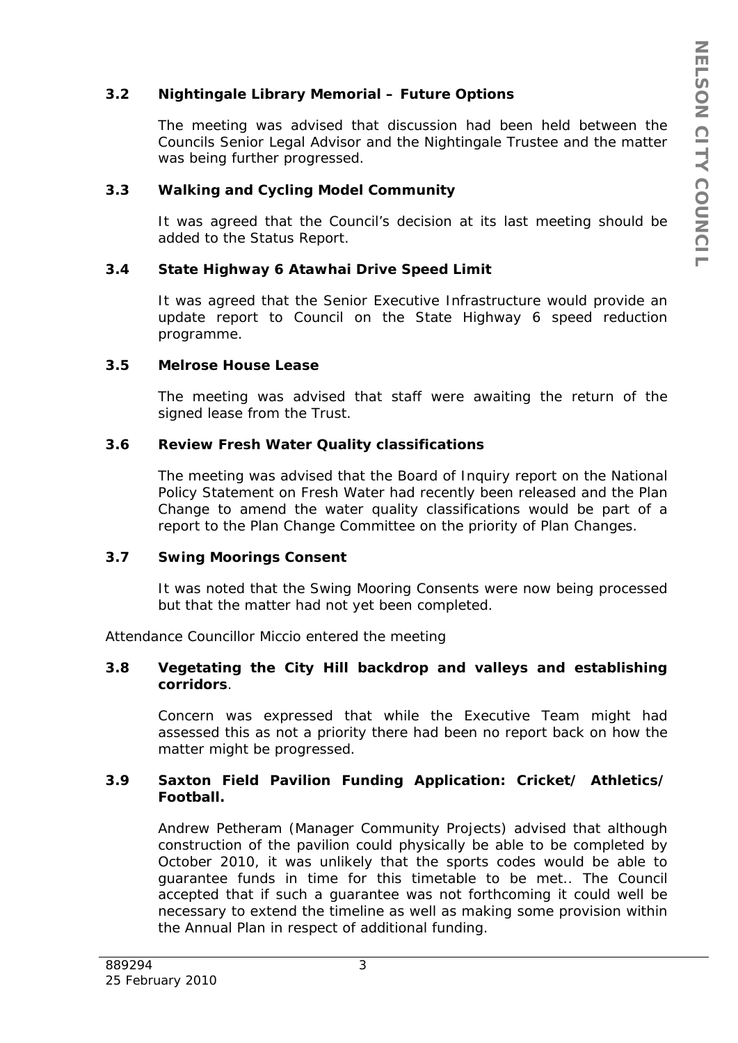## **3.2 Nightingale Library Memorial – Future Options**

The meeting was advised that discussion had been held between the Councils Senior Legal Advisor and the Nightingale Trustee and the matter was being further progressed.

## **3.3 Walking and Cycling Model Community**

It was agreed that the Council's decision at its last meeting should be added to the Status Report.

## **3.4 State Highway 6 Atawhai Drive Speed Limit**

It was agreed that the Senior Executive Infrastructure would provide an update report to Council on the State Highway 6 speed reduction programme.

## **3.5 Melrose House Lease**

The meeting was advised that staff were awaiting the return of the signed lease from the Trust.

## **3.6 Review Fresh Water Quality classifications**

The meeting was advised that the Board of Inquiry report on the National Policy Statement on Fresh Water had recently been released and the Plan Change to amend the water quality classifications would be part of a report to the Plan Change Committee on the priority of Plan Changes.

## **3.7 Swing Moorings Consent**

It was noted that the Swing Mooring Consents were now being processed but that the matter had not yet been completed.

Attendance Councillor Miccio entered the meeting

## **3.8 Vegetating the City Hill backdrop and valleys and establishing corridors**.

Concern was expressed that while the Executive Team might had assessed this as not a priority there had been no report back on how the matter might be progressed.

## **3.9 Saxton Field Pavilion Funding Application: Cricket/ Athletics/ Football.**

Andrew Petheram (Manager Community Projects) advised that although construction of the pavilion could physically be able to be completed by October 2010, it was unlikely that the sports codes would be able to guarantee funds in time for this timetable to be met.. The Council accepted that if such a guarantee was not forthcoming it could well be necessary to extend the timeline as well as making some provision within the Annual Plan in respect of additional funding.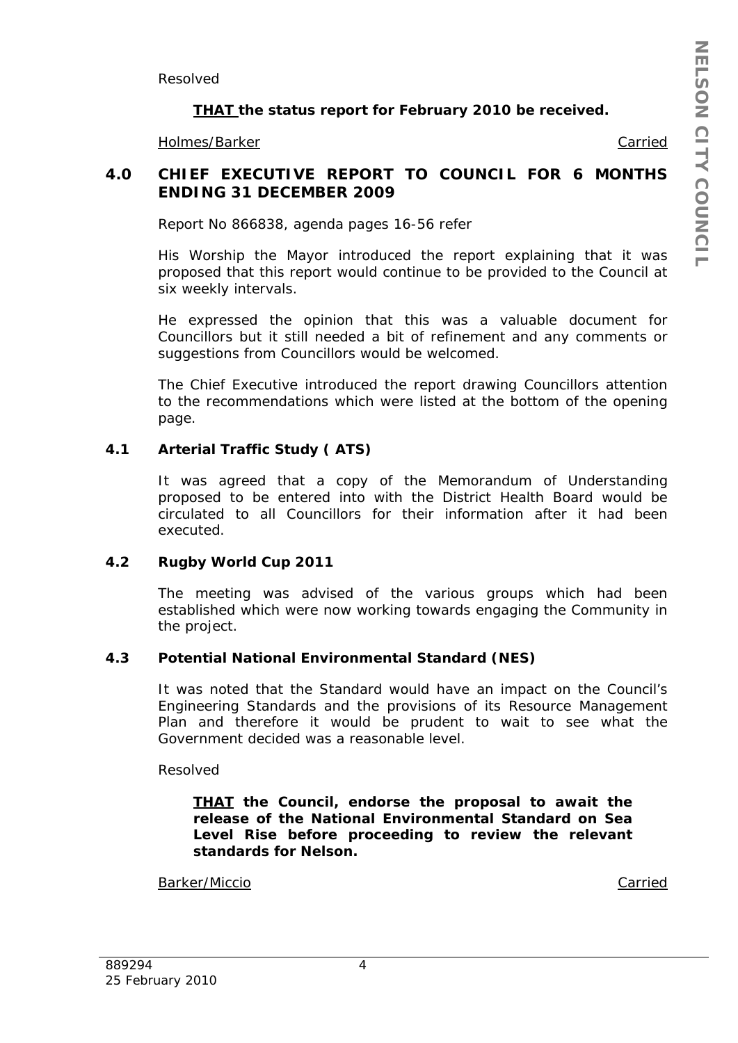Resolved

## *THAT the status report for February 2010 be received.*

Holmes/Barker Carried

## **4.0 CHIEF EXECUTIVE REPORT TO COUNCIL FOR 6 MONTHS ENDING 31 DECEMBER 2009**

Report No 866838, agenda pages 16-56 refer

His Worship the Mayor introduced the report explaining that it was proposed that this report would continue to be provided to the Council at six weekly intervals.

He expressed the opinion that this was a valuable document for Councillors but it still needed a bit of refinement and any comments or suggestions from Councillors would be welcomed.

The Chief Executive introduced the report drawing Councillors attention to the recommendations which were listed at the bottom of the opening page.

## **4.1 Arterial Traffic Study ( ATS)**

It was agreed that a copy of the Memorandum of Understanding proposed to be entered into with the District Health Board would be circulated to all Councillors for their information after it had been executed.

## **4.2 Rugby World Cup 2011**

The meeting was advised of the various groups which had been established which were now working towards engaging the Community in the project.

## **4.3 Potential National Environmental Standard (NES)**

It was noted that the Standard would have an impact on the Council's Engineering Standards and the provisions of its Resource Management Plan and therefore it would be prudent to wait to see what the Government decided was a reasonable level.

Resolved

*THAT the Council, endorse the proposal to await the release of the National Environmental Standard on Sea Level Rise before proceeding to review the relevant standards for Nelson.* 

Barker/Miccio Carried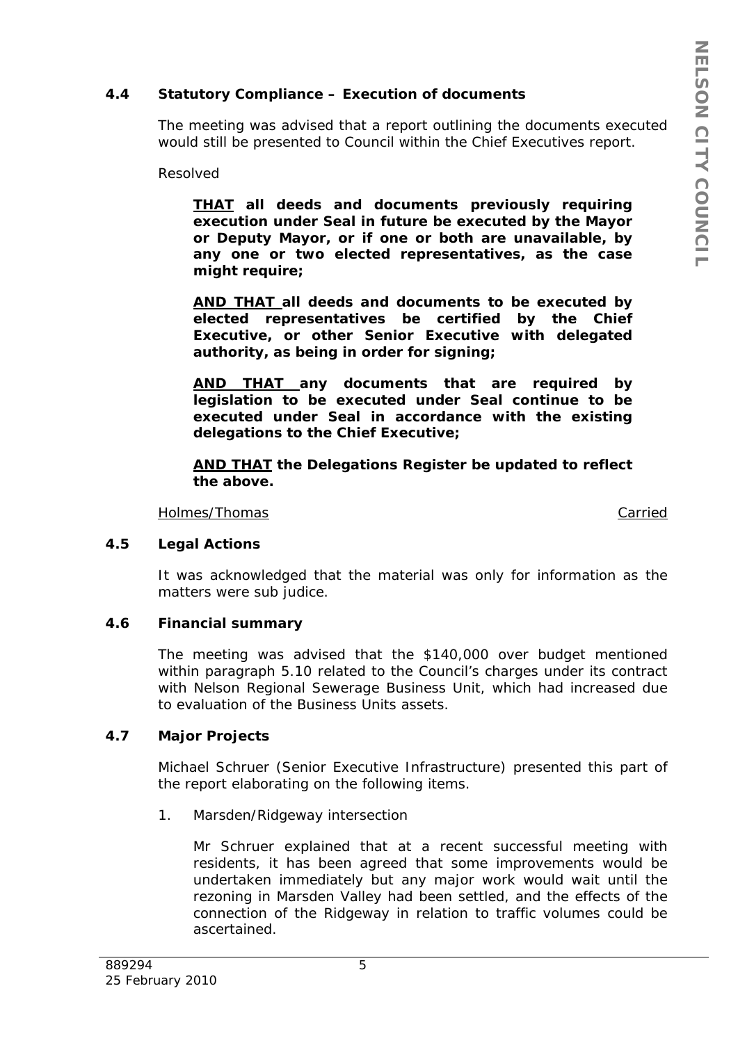## **4.4 Statutory Compliance – Execution of documents**

The meeting was advised that a report outlining the documents executed would still be presented to Council within the Chief Executives report.

Resolved

*THAT all deeds and documents previously requiring execution under Seal in future be executed by the Mayor or Deputy Mayor, or if one or both are unavailable, by any one or two elected representatives, as the case might require;* 

*AND THAT all deeds and documents to be executed by elected representatives be certified by the Chief Executive, or other Senior Executive with delegated authority, as being in order for signing;* 

*AND THAT any documents that are required by legislation to be executed under Seal continue to be executed under Seal in accordance with the existing delegations to the Chief Executive;* 

*AND THAT the Delegations Register be updated to reflect the above.* 

Holmes/Thomas **Carried** Carried **Carried** Carried **Carried** 

#### **4.5 Legal Actions**

It was acknowledged that the material was only for information as the matters were sub judice.

## **4.6 Financial summary**

The meeting was advised that the \$140,000 over budget mentioned within paragraph 5.10 related to the Council's charges under its contract with Nelson Regional Sewerage Business Unit, which had increased due to evaluation of the Business Units assets.

#### **4.7 Major Projects**

Michael Schruer (Senior Executive Infrastructure) presented this part of the report elaborating on the following items.

1. Marsden/Ridgeway intersection

Mr Schruer explained that at a recent successful meeting with residents, it has been agreed that some improvements would be undertaken immediately but any major work would wait until the rezoning in Marsden Valley had been settled, and the effects of the connection of the Ridgeway in relation to traffic volumes could be ascertained.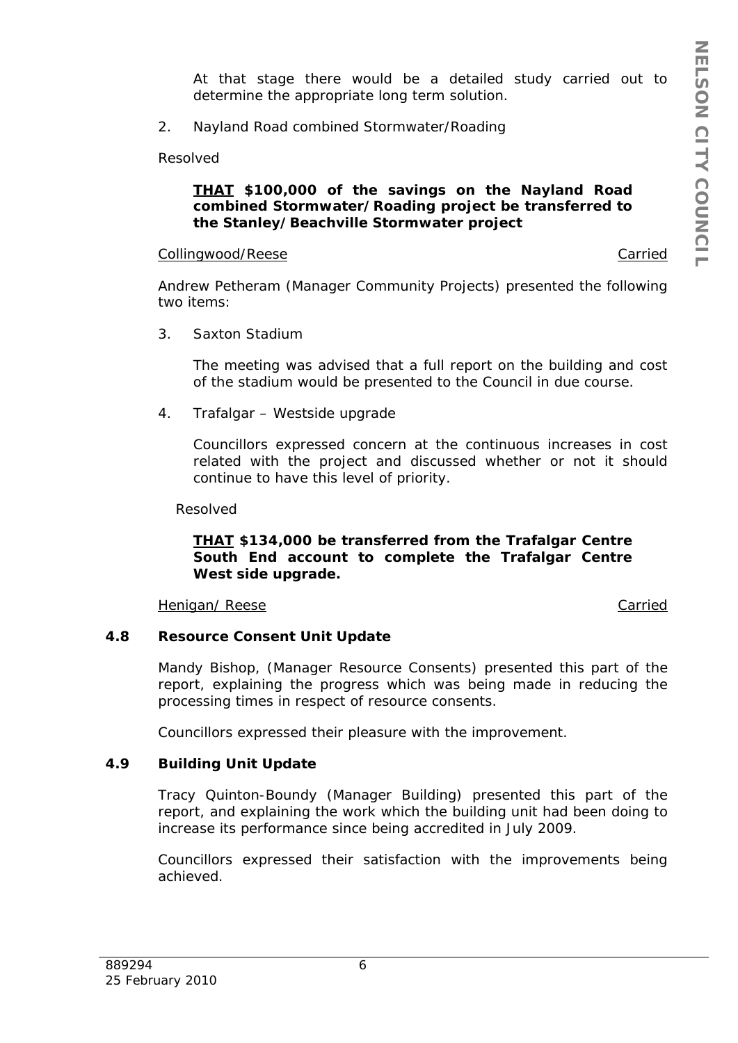At that stage there would be a detailed study carried out to determine the appropriate long term solution.

2. Nayland Road combined Stormwater/Roading

Resolved

## *THAT \$100,000 of the savings on the Nayland Road combined Stormwater/Roading project be transferred to the Stanley/Beachville Stormwater project*

#### Collingwood/Reese Carried Collingwood/Reese Carried Carried Carried Carried Carried Carried Carried Carried Carried Carried Carried Carried Carried Carried Carried Carried Carried Carried Carried Carried Carried Carried Ca

Andrew Petheram (Manager Community Projects) presented the following two items:

3. Saxton Stadium

The meeting was advised that a full report on the building and cost of the stadium would be presented to the Council in due course.

4. Trafalgar – Westside upgrade

Councillors expressed concern at the continuous increases in cost related with the project and discussed whether or not it should continue to have this level of priority.

Resolved

## *THAT \$134,000 be transferred from the Trafalgar Centre South End account to complete the Trafalgar Centre West side upgrade.*

Henigan/ Reese Carried Carried Carried Carried Carried Carried Carried Carried Carried Carried Carried Carried

## **4.8 Resource Consent Unit Update**

Mandy Bishop, (Manager Resource Consents) presented this part of the report, explaining the progress which was being made in reducing the processing times in respect of resource consents.

Councillors expressed their pleasure with the improvement.

## **4.9 Building Unit Update**

Tracy Quinton-Boundy (Manager Building) presented this part of the report, and explaining the work which the building unit had been doing to increase its performance since being accredited in July 2009.

Councillors expressed their satisfaction with the improvements being achieved.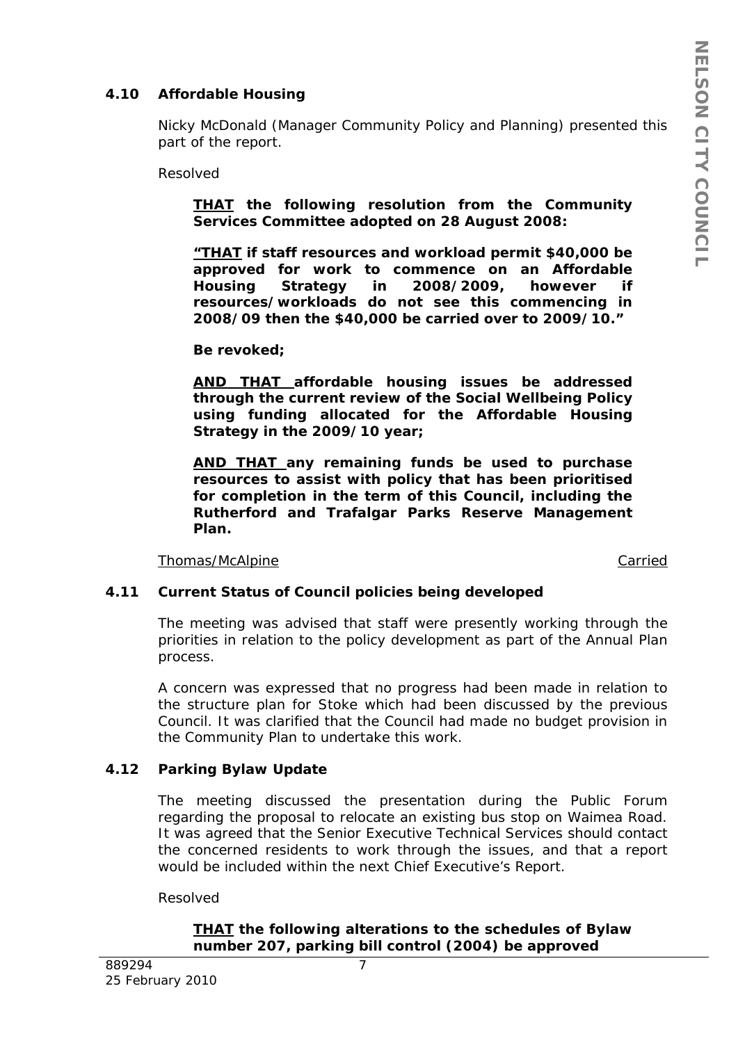# **4.10 Affordable Housing**

Nicky McDonald (Manager Community Policy and Planning) presented this part of the report.

Resolved

*THAT the following resolution from the Community Services Committee adopted on 28 August 2008:* 

*"THAT if staff resources and workload permit \$40,000 be approved for work to commence on an Affordable Housing Strategy in 2008/2009, however if resources/workloads do not see this commencing in 2008/09 then the \$40,000 be carried over to 2009/10."* 

*Be revoked;* 

*AND THAT affordable housing issues be addressed through the current review of the Social Wellbeing Policy using funding allocated for the Affordable Housing Strategy in the 2009/10 year;* 

*AND THAT any remaining funds be used to purchase resources to assist with policy that has been prioritised for completion in the term of this Council, including the Rutherford and Trafalgar Parks Reserve Management Plan.* 

Thomas/McAlpine Carried

## **4.11 Current Status of Council policies being developed**

The meeting was advised that staff were presently working through the priorities in relation to the policy development as part of the Annual Plan process.

A concern was expressed that no progress had been made in relation to the structure plan for Stoke which had been discussed by the previous Council. It was clarified that the Council had made no budget provision in the Community Plan to undertake this work.

## **4.12 Parking Bylaw Update**

The meeting discussed the presentation during the Public Forum regarding the proposal to relocate an existing bus stop on Waimea Road. It was agreed that the Senior Executive Technical Services should contact the concerned residents to work through the issues, and that a report would be included within the next Chief Executive's Report.

Resolved

## *THAT the following alterations to the schedules of Bylaw number 207, parking bill control (2004) be approved*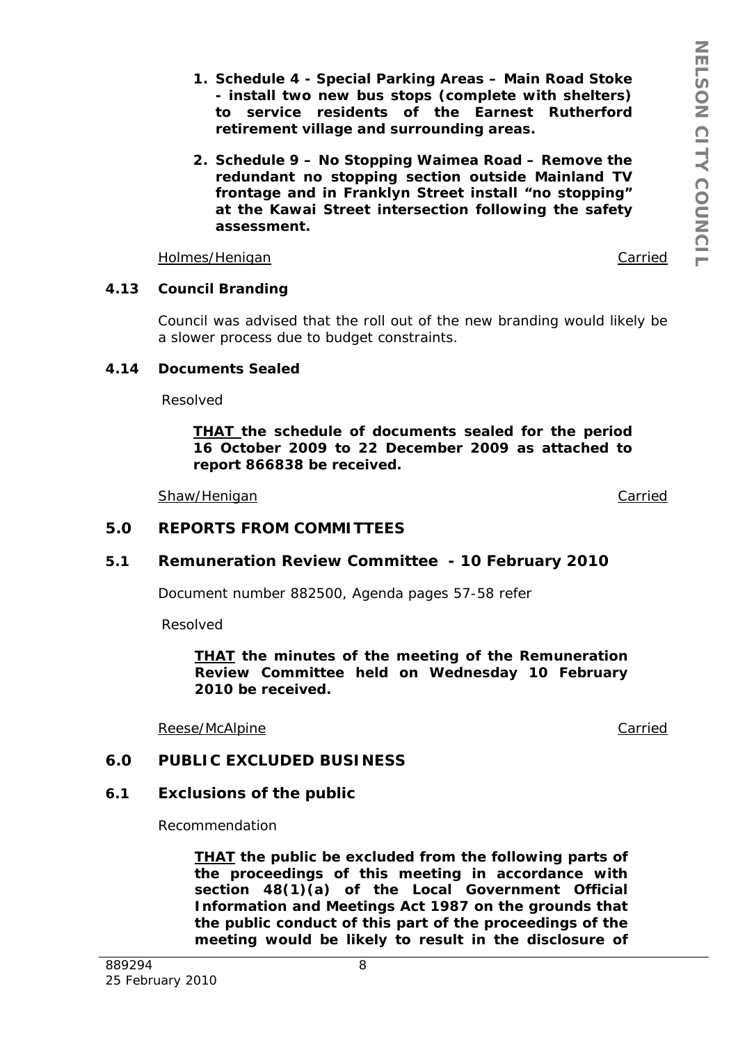- *1. Schedule 4 Special Parking Areas Main Road Stoke - install two new bus stops (complete with shelters) to service residents of the Earnest Rutherford retirement village and surrounding areas.*
- *2. Schedule 9 No Stopping Waimea Road Remove the redundant no stopping section outside Mainland TV frontage and in Franklyn Street install "no stopping" at the Kawai Street intersection following the safety assessment.*

Holmes/Henigan Carried

## **4.13 Council Branding**

Council was advised that the roll out of the new branding would likely be a slower process due to budget constraints.

## **4.14 Documents Sealed**

Resolved

*THAT the schedule of documents sealed for the period 16 October 2009 to 22 December 2009 as attached to report 866838 be received.* 

Shaw/Henigan Carried Carried Carried Carried Carried Carried Carried Carried Carried Carried Carried Carried Carried Carried Carried Carried Carried Carried Carried Carried Carried Carried Carried Carried Carried Carried C

## **5.0 REPORTS FROM COMMITTEES**

## **5.1 Remuneration Review Committee - 10 February 2010**

Document number 882500, Agenda pages 57-58 refer

Resolved

*THAT the minutes of the meeting of the Remuneration Review Committee held on Wednesday 10 February 2010 be received.* 

Reese/McAlpine **Carried** 

#### **6.0 PUBLIC EXCLUDED BUSINESS**

#### **6.1 Exclusions of the public**

Recommendation

*THAT the public be excluded from the following parts of the proceedings of this meeting in accordance with section 48(1)(a) of the Local Government Official Information and Meetings Act 1987 on the grounds that the public conduct of this part of the proceedings of the meeting would be likely to result in the disclosure of*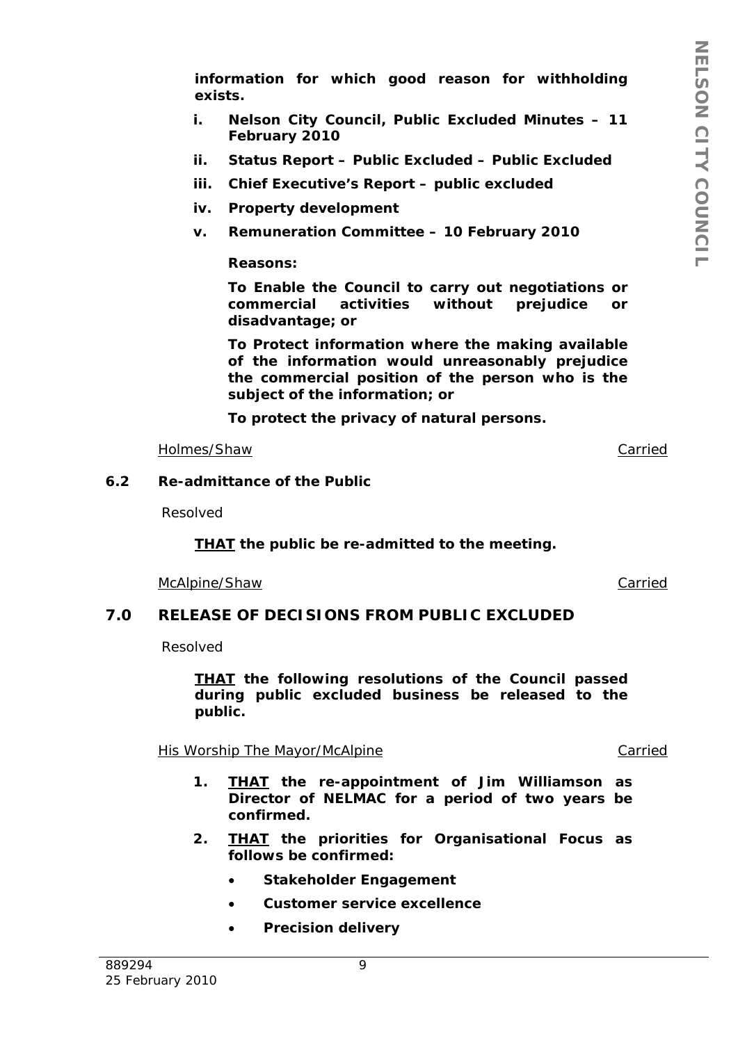*information for which good reason for withholding exists.* 

- *i. Nelson City Council, Public Excluded Minutes 11 February 2010*
- *ii. Status Report Public Excluded Public Excluded*
- *iii. Chief Executive's Report public excluded*
- *iv. Property development*
- *v. Remuneration Committee 10 February 2010*

## *Reasons:*

*To Enable the Council to carry out negotiations or commercial activities without prejudice or disadvantage; or* 

*To Protect information where the making available of the information would unreasonably prejudice the commercial position of the person who is the subject of the information; or* 

*To protect the privacy of natural persons.* 

Holmes/Shaw Carried

#### **6.2 Re-admittance of the Public**

Resolved

*THAT the public be re-admitted to the meeting.* 

McAlpine/Shaw Carried

# **7.0 RELEASE OF DECISIONS FROM PUBLIC EXCLUDED**

Resolved

*THAT the following resolutions of the Council passed during public excluded business be released to the public.* 

His Worship The Mayor/McAlpine Carried

- *1. THAT the re-appointment of Jim Williamson as Director of NELMAC for a period of two years be confirmed.*
- *2. THAT the priorities for Organisational Focus as follows be confirmed:* 
	- *Stakeholder Engagement*
	- *Customer service excellence*
	- *Precision delivery*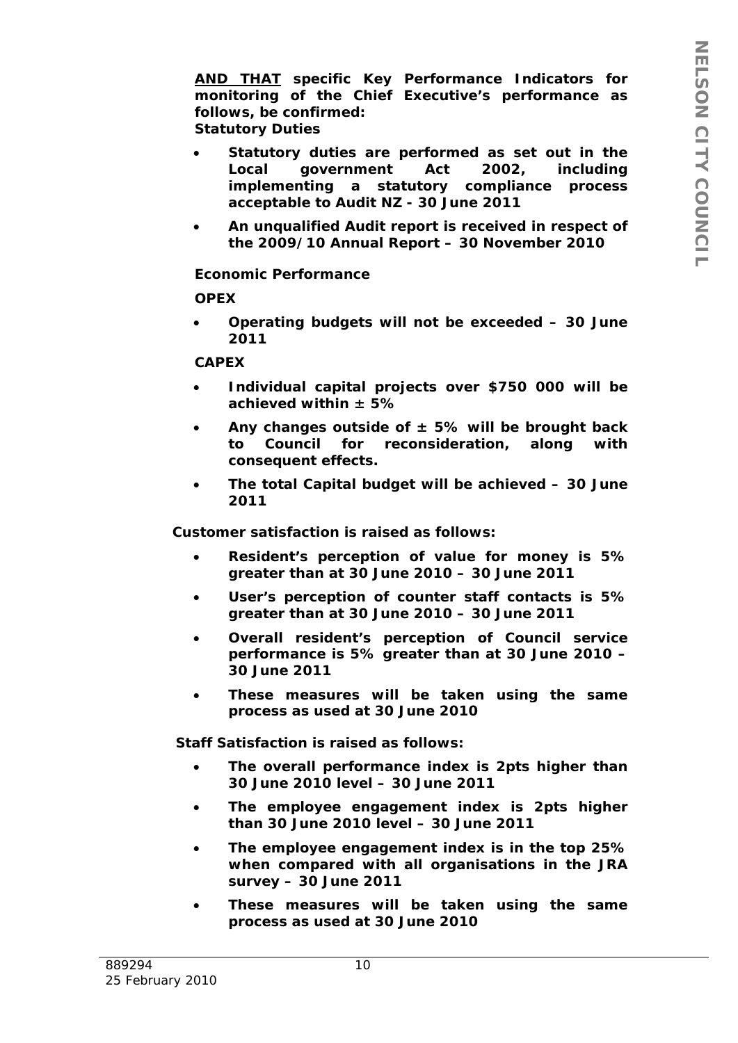*AND THAT specific Key Performance Indicators for monitoring of the Chief Executive's performance as follows, be confirmed: Statutory Duties* 

- *Statutory duties are performed as set out in the Local government Act 2002, including implementing a statutory compliance process acceptable to Audit NZ - 30 June 2011*
- *An unqualified Audit report is received in respect of the 2009/10 Annual Report – 30 November 2010*

## *Economic Performance*

#### *OPEX*

 *Operating budgets will not be exceeded – 30 June 2011* 

#### *CAPEX*

- *Individual capital projects over \$750 000 will be achieved within ± 5%*
- *Any changes outside of ± 5% will be brought back to Council for reconsideration, along with consequent effects.*
- *The total Capital budget will be achieved 30 June 2011*

*Customer satisfaction is raised as follows:* 

- *Resident's perception of value for money is 5% greater than at 30 June 2010 – 30 June 2011*
- *User's perception of counter staff contacts is 5% greater than at 30 June 2010 – 30 June 2011*
- *Overall resident's perception of Council service performance is 5% greater than at 30 June 2010 – 30 June 2011*
- *These measures will be taken using the same process as used at 30 June 2010*

*Staff Satisfaction is raised as follows:* 

- *The overall performance index is 2pts higher than 30 June 2010 level – 30 June 2011*
- *The employee engagement index is 2pts higher than 30 June 2010 level – 30 June 2011*
- *The employee engagement index is in the top 25% when compared with all organisations in the JRA survey – 30 June 2011*
- *These measures will be taken using the same process as used at 30 June 2010*